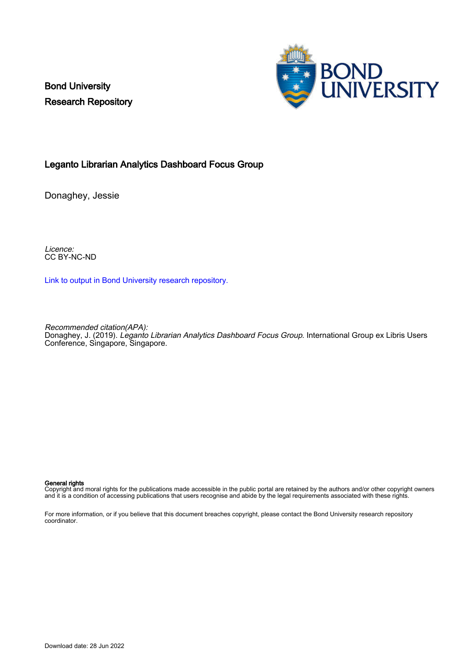Bond University Research Repository



#### Leganto Librarian Analytics Dashboard Focus Group

Donaghey, Jessie

Licence: CC BY-NC-ND

[Link to output in Bond University research repository.](https://research.bond.edu.au/en/publications/1a196e0a-d995-4e1b-819c-dee29663ebe2)

Recommended citation(APA):

Donaghey, J. (2019). *Leganto Librarian Analytics Dashboard Focus Group*. International Group ex Libris Users Conference, Singapore, Singapore.

#### General rights

Copyright and moral rights for the publications made accessible in the public portal are retained by the authors and/or other copyright owners and it is a condition of accessing publications that users recognise and abide by the legal requirements associated with these rights.

For more information, or if you believe that this document breaches copyright, please contact the Bond University research repository coordinator.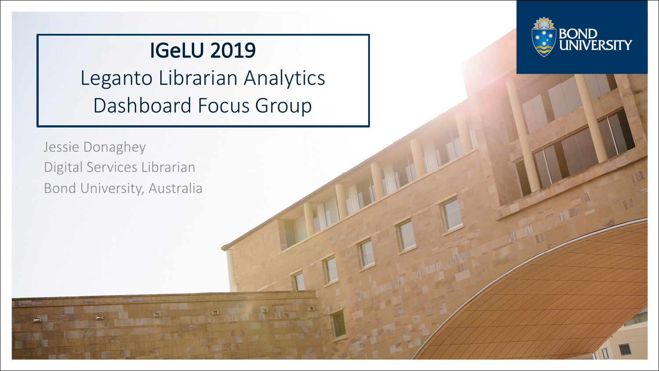# **IGeLU 2019**

Leganto Librarian Analytics Dashboard Focus Group

Jessie Donaghey Digital Services Librarian Bond University, Australia

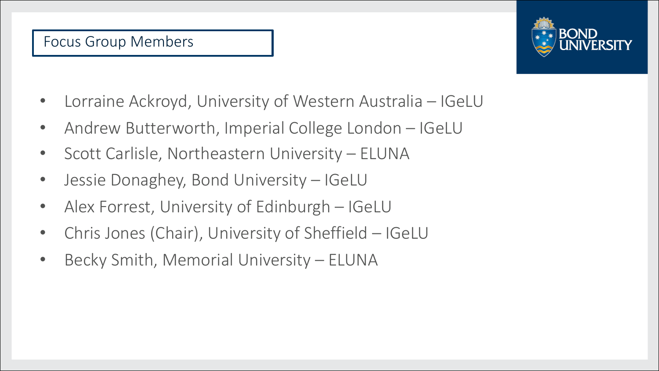

- Lorraine Ackroyd, University of Western Australia IGeLU
- Andrew Butterworth, Imperial College London IGeLU
- Scott Carlisle, Northeastern University ELUNA
- Jessie Donaghey, Bond University IGeLU
- Alex Forrest, University of Edinburgh IGeLU
- Chris Jones (Chair), University of Sheffield IGeLU
- Becky Smith, Memorial University ELUNA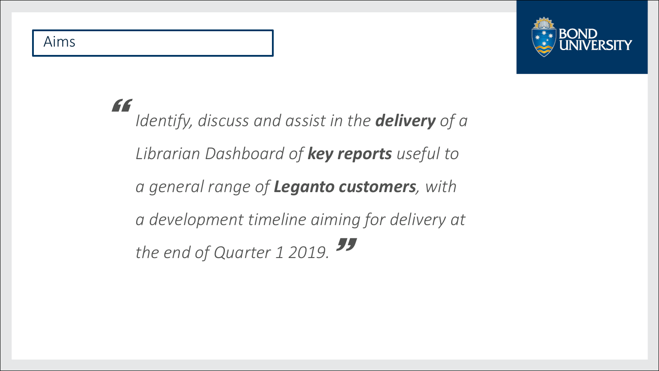#### Aims



*Identify, discuss and assist in the delivery of a Librarian Dashboard of key reports useful to a general range of Leganto customers, with a development timeline aiming for delivery at*  the end of Quarter 1 2019.<sup>55</sup> }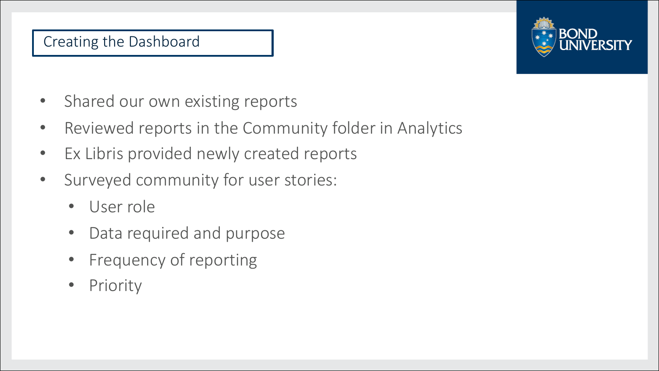### Creating the Dashboard

- Shared our own existing reports
- Reviewed reports in the Community folder in Analytics
- Ex Libris provided newly created reports
- Surveyed community for user stories:
	- User role
	- Data required and purpose
	- Frequency of reporting
	- **Priority**

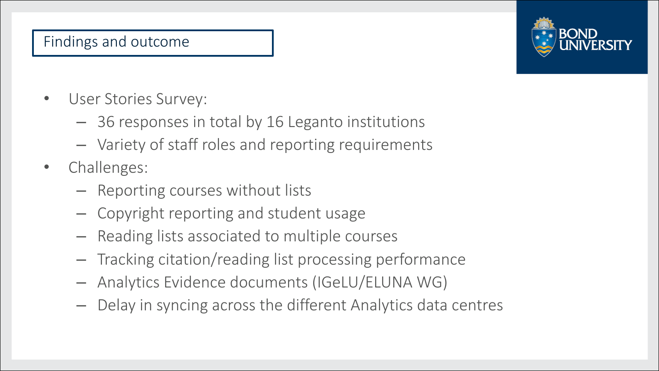## Findings and outcome

- User Stories Survey:
	- $-$  36 responses in total by 16 Leganto institutions
	- $-$  Variety of staff roles and reporting requirements
- Challenges:
	- $-$  Reporting courses without lists
	- $-$  Copyright reporting and student usage
	- $-$  Reading lists associated to multiple courses
	- $-$  Tracking citation/reading list processing performance
	- Analytics Evidence documents (IGeLU/ELUNA WG)
	- $-$  Delay in syncing across the different Analytics data centres

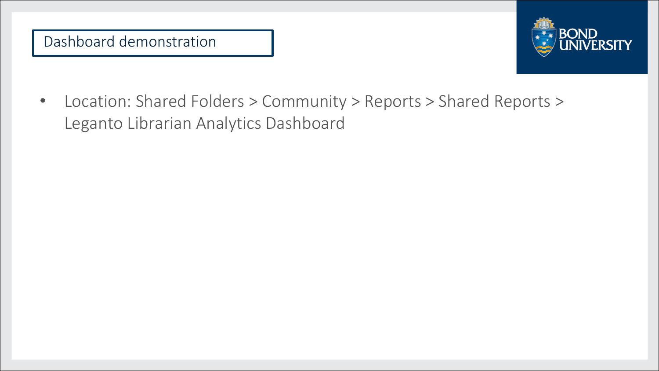

• Location: Shared Folders > Community > Reports > Shared Reports > Leganto Librarian Analytics Dashboard